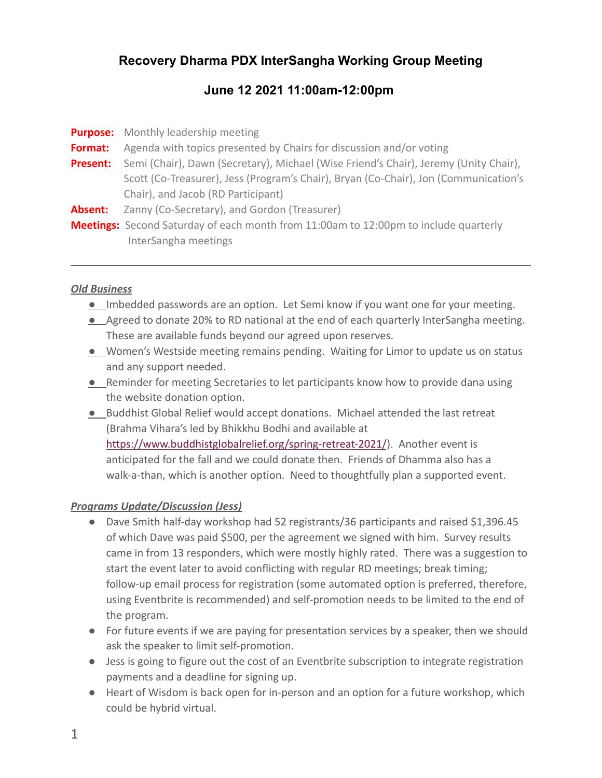# **Recovery Dharma PDX InterSangha Working Group Meeting**

## **June 12 2021 11:00am-12:00pm**

|                 | <b>Purpose:</b> Monthly leadership meeting                                                  |
|-----------------|---------------------------------------------------------------------------------------------|
| Format:         | Agenda with topics presented by Chairs for discussion and/or voting                         |
| <b>Present:</b> | Semi (Chair), Dawn (Secretary), Michael (Wise Friend's Chair), Jeremy (Unity Chair),        |
|                 | Scott (Co-Treasurer), Jess (Program's Chair), Bryan (Co-Chair), Jon (Communication's        |
|                 | Chair), and Jacob (RD Participant)                                                          |
| Absent:         | Zanny (Co-Secretary), and Gordon (Treasurer)                                                |
|                 | <b>Meetings:</b> Second Saturday of each month from 11:00am to 12:00pm to include quarterly |
|                 | InterSangha meetings                                                                        |

### *Old Business*

- *●* Imbedded passwords are an option. Let Semi know if you want one for your meeting.
- Agreed to donate 20% to RD national at the end of each quarterly InterSangha meeting. These are available funds beyond our agreed upon reserves.
- *●* Women's Westside meeting remains pending. Waiting for Limor to update us on status and any support needed.
- *●* Reminder for meeting Secretaries to let participants know how to provide dana using the website donation option.
- *●* Buddhist Global Relief would accept donations. Michael attended the last retreat (Brahma Vihara's led by Bhikkhu Bodhi and available at <https://www.buddhistglobalrelief.org/spring-retreat-2021/>). Another event is anticipated for the fall and we could donate then. Friends of Dhamma also has a walk-a-than, which is another option. Need to thoughtfully plan a supported event.

### *Programs Update/Discussion (Jess)*

- *●* Dave Smith half-day workshop had 52 registrants/36 participants and raised \$1,396.45 of which Dave was paid \$500, per the agreement we signed with him. Survey results came in from 13 responders, which were mostly highly rated. There was a suggestion to start the event later to avoid conflicting with regular RD meetings; break timing; follow-up email process for registration (some automated option is preferred, therefore, using Eventbrite is recommended) and self-promotion needs to be limited to the end of the program.
- *●* For future events if we are paying for presentation services by a speaker, then we should ask the speaker to limit self-promotion.
- *●* Jess is going to figure out the cost of an Eventbrite subscription to integrate registration payments and a deadline for signing up.
- *●* Heart of Wisdom is back open for in-person and an option for a future workshop, which could be hybrid virtual.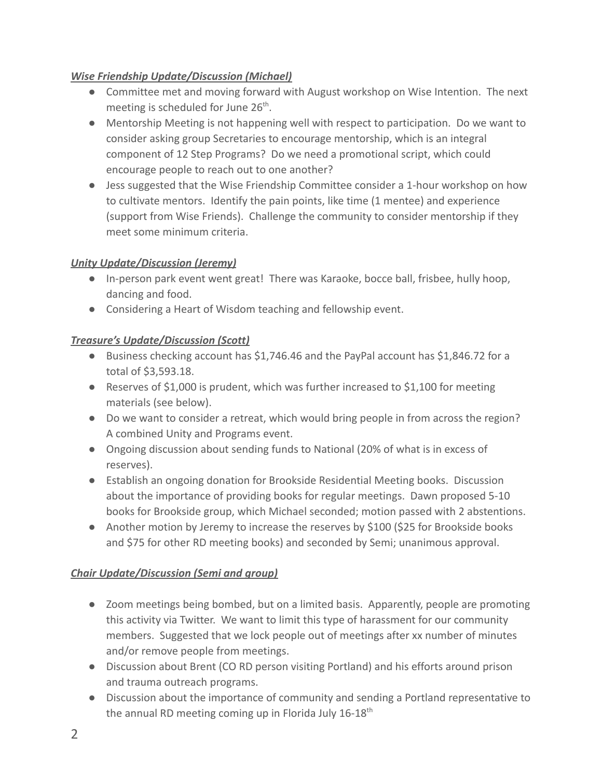## *Wise Friendship Update/Discussion (Michael)*

- Committee met and moving forward with August workshop on Wise Intention. The next meeting is scheduled for June 26<sup>th</sup>.
- Mentorship Meeting is not happening well with respect to participation. Do we want to consider asking group Secretaries to encourage mentorship, which is an integral component of 12 Step Programs? Do we need a promotional script, which could encourage people to reach out to one another?
- Jess suggested that the Wise Friendship Committee consider a 1-hour workshop on how to cultivate mentors. Identify the pain points, like time (1 mentee) and experience (support from Wise Friends). Challenge the community to consider mentorship if they meet some minimum criteria.

## *Unity Update/Discussion (Jeremy)*

- In-person park event went great! There was Karaoke, bocce ball, frisbee, hully hoop, dancing and food.
- Considering a Heart of Wisdom teaching and fellowship event.

### *Treasure's Update/Discussion (Scott)*

- Business checking account has \$1,746.46 and the PayPal account has \$1,846.72 for a total of \$3,593.18.
- Reserves of \$1,000 is prudent, which was further increased to \$1,100 for meeting materials (see below).
- Do we want to consider a retreat, which would bring people in from across the region? A combined Unity and Programs event.
- Ongoing discussion about sending funds to National (20% of what is in excess of reserves).
- Establish an ongoing donation for Brookside Residential Meeting books. Discussion about the importance of providing books for regular meetings. Dawn proposed 5-10 books for Brookside group, which Michael seconded; motion passed with 2 abstentions.
- Another motion by Jeremy to increase the reserves by \$100 (\$25 for Brookside books and \$75 for other RD meeting books) and seconded by Semi; unanimous approval.

### *Chair Update/Discussion (Semi and group)*

- Zoom meetings being bombed, but on a limited basis. Apparently, people are promoting this activity via Twitter. We want to limit this type of harassment for our community members. Suggested that we lock people out of meetings after xx number of minutes and/or remove people from meetings.
- Discussion about Brent (CO RD person visiting Portland) and his efforts around prison and trauma outreach programs.
- Discussion about the importance of community and sending a Portland representative to the annual RD meeting coming up in Florida July 16-18<sup>th</sup>